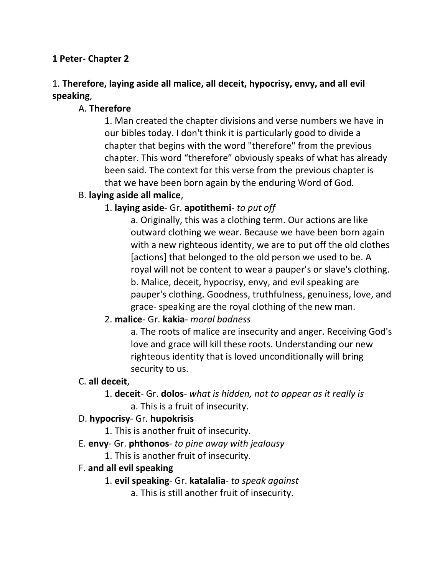#### **1 Peter- Chapter 2**

## 1. **Therefore, laying aside all malice, all deceit, hypocrisy, envy, and all evil speaking**,

### A. **Therefore**

1. Man created the chapter divisions and verse numbers we have in our bibles today. I don't think it is particularly good to divide a chapter that begins with the word "therefore" from the previous chapter. This word "therefore" obviously speaks of what has already been said. The context for this verse from the previous chapter is that we have been born again by the enduring Word of God.

### B. **laying aside all malice**,

### 1. **laying aside**- Gr. **apotithemi**- *to put off*

a. Originally, this was a clothing term. Our actions are like outward clothing we wear. Because we have been born again with a new righteous identity, we are to put off the old clothes [actions] that belonged to the old person we used to be. A royal will not be content to wear a pauper's or slave's clothing. b. Malice, deceit, hypocrisy, envy, and evil speaking are pauper's clothing. Goodness, truthfulness, genuiness, love, and grace- speaking are the royal clothing of the new man.

#### 2. **malice**- Gr. **kakia**- *moral badness*

a. The roots of malice are insecurity and anger. Receiving God's love and grace will kill these roots. Understanding our new righteous identity that is loved unconditionally will bring security to us.

#### C. **all deceit**,

#### 1. **deceit**- Gr. **dolos**- *what is hidden, not to appear as it really is* a. This is a fruit of insecurity.

#### D. **hypocrisy**- Gr. **hupokrisis**

- 1. This is another fruit of insecurity.
- E. **envy** Gr. **phthonos** *to pine away with jealousy*
	- 1. This is another fruit of insecurity.

#### F. **and all evil speaking**

- 1. **evil speaking** Gr. **katalalia** *to speak against*
	- a. This is still another fruit of insecurity.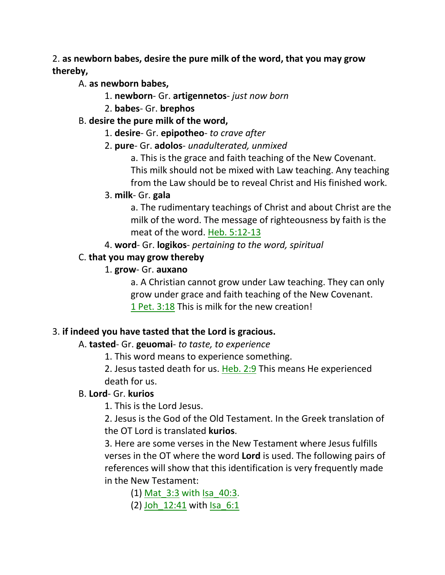### 2. **as newborn babes, desire the pure milk of the word, that you may grow thereby,**

A. **as newborn babes,**

- 1. **newborn** Gr. **artigennetos** *just now born*
- 2. **babes** Gr. **brephos**

## B. **desire the pure milk of the word,**

- 1. **desire** Gr. **epipotheo** *to crave after*
- 2. **pure** Gr. **adolos** *unadulterated, unmixed*

a. This is the grace and faith teaching of the New Covenant. This milk should not be mixed with Law teaching. Any teaching from the Law should be to reveal Christ and His finished work.

## 3. **milk**- Gr. **gala**

a. The rudimentary teachings of Christ and about Christ are the milk of the word. The message of righteousness by faith is the meat of the word. Heb. 5:12-13

4. **word**- Gr. **logikos**- *pertaining to the word, spiritual*

## C. **that you may grow thereby**

## 1. **grow**- Gr. **auxano**

a. A Christian cannot grow under Law teaching. They can only grow under grace and faith teaching of the New Covenant. 1 Pet. 3:18 This is milk for the new creation!

## 3. **if indeed you have tasted that the Lord is gracious.**

## A. **tasted**- Gr. **geuomai**- *to taste, to experience*

1. This word means to experience something.

2. Jesus tasted death for us. Heb. 2:9 This means He experienced death for us.

## B. **Lord**- Gr. **kurios**

1. This is the Lord Jesus.

2. Jesus is the God of the Old Testament. In the Greek translation of the OT Lord is translated **kurios**.

3. Here are some verses in the New Testament where Jesus fulfills verses in the OT where the word **Lord** is used. The following pairs of references will show that this identification is very frequently made in the New Testament:

(1) Mat\_3:3 with Isa\_40:3.

(2) Joh 12:41 with Isa 6:1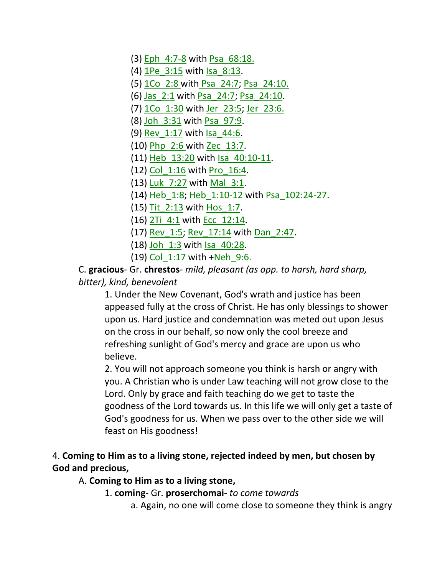- (3) Eph\_4:7-8 with Psa\_68:18.
- (4) **1Pe** 3:15 with Isa 8:13.
- (5) 1Co\_2:8 with Psa\_24:7; Psa\_24:10.
- (6) Jas\_2:1 with Psa\_24:7; Psa\_24:10.
- (7) 1Co\_1:30 with Jer\_23:5; Jer\_23:6.
- (8) Joh\_3:31 with Psa\_97:9.
- (9) Rev\_1:17 with Isa\_44:6.
- (10) Php\_2:6 with Zec\_13:7.
- (11) Heb\_13:20 with Isa\_40:10-11.
- (12) Col\_1:16 with Pro\_16:4.
- (13) Luk 7:27 with Mal 3:1.
- (14) Heb\_1:8; Heb\_1:10-12 with Psa\_102:24-27.
- (15) Tit\_2:13 with Hos\_1:7.
- (16) 2Ti\_4:1 with Ecc\_12:14.
- (17) Rev\_1:5; Rev\_17:14 with Dan\_2:47.
- (18) Joh 1:3 with Isa 40:28.
- (19) Col\_1:17 with +Neh\_9:6.

C. **gracious**- Gr. **chrestos**- *mild, pleasant (as opp. to harsh, hard sharp, bitter), kind, benevolent* 

1. Under the New Covenant, God's wrath and justice has been appeased fully at the cross of Christ. He has only blessings to shower upon us. Hard justice and condemnation was meted out upon Jesus on the cross in our behalf, so now only the cool breeze and refreshing sunlight of God's mercy and grace are upon us who believe.

2. You will not approach someone you think is harsh or angry with you. A Christian who is under Law teaching will not grow close to the Lord. Only by grace and faith teaching do we get to taste the goodness of the Lord towards us. In this life we will only get a taste of God's goodness for us. When we pass over to the other side we will feast on His goodness!

### 4. **Coming to Him as to a living stone, rejected indeed by men, but chosen by God and precious,**

#### A. **Coming to Him as to a living stone,**

- 1. **coming** Gr. **proserchomai** *to come towards*
	- a. Again, no one will come close to someone they think is angry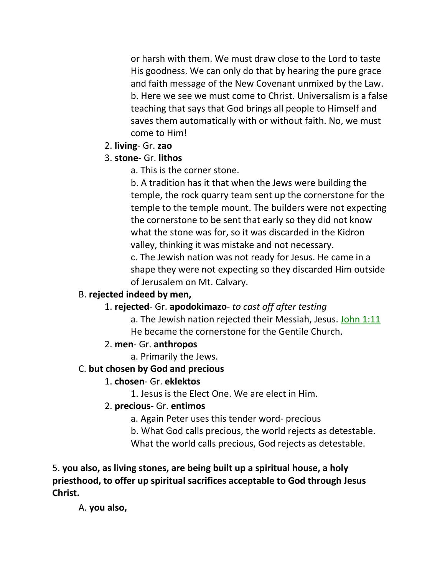or harsh with them. We must draw close to the Lord to taste His goodness. We can only do that by hearing the pure grace and faith message of the New Covenant unmixed by the Law. b. Here we see we must come to Christ. Universalism is a false teaching that says that God brings all people to Himself and saves them automatically with or without faith. No, we must come to Him!

2. **living**- Gr. **zao**

### 3. **stone**- Gr. **lithos**

a. This is the corner stone.

b. A tradition has it that when the Jews were building the temple, the rock quarry team sent up the cornerstone for the temple to the temple mount. The builders were not expecting the cornerstone to be sent that early so they did not know what the stone was for, so it was discarded in the Kidron valley, thinking it was mistake and not necessary. c. The Jewish nation was not ready for Jesus. He came in a shape they were not expecting so they discarded Him outside

of Jerusalem on Mt. Calvary.

#### B. **rejected indeed by men,**

### 1. **rejected**- Gr. **apodokimazo**- *to cast off after testing*

a. The Jewish nation rejected their Messiah, Jesus. John 1:11 He became the cornerstone for the Gentile Church.

### 2. **men**- Gr. **anthropos**

a. Primarily the Jews.

### C. **but chosen by God and precious**

### 1. **chosen**- Gr. **eklektos**

1. Jesus is the Elect One. We are elect in Him.

#### 2. **precious**- Gr. **entimos**

a. Again Peter uses this tender word- precious

b. What God calls precious, the world rejects as detestable.

What the world calls precious, God rejects as detestable.

5. **you also, as living stones, are being built up a spiritual house, a holy priesthood, to offer up spiritual sacrifices acceptable to God through Jesus Christ.**

A. **you also,**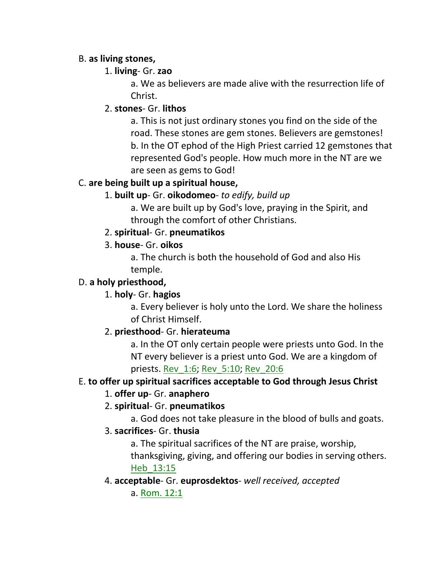### B. **as living stones,**

### 1. **living**- Gr. **zao**

a. We as believers are made alive with the resurrection life of Christ.

### 2. **stones**- Gr. **lithos**

a. This is not just ordinary stones you find on the side of the road. These stones are gem stones. Believers are gemstones! b. In the OT ephod of the High Priest carried 12 gemstones that represented God's people. How much more in the NT are we are seen as gems to God!

### C. **are being built up a spiritual house,**

### 1. **built up**- Gr. **oikodomeo**- *to edify, build up*

a. We are built up by God's love, praying in the Spirit, and through the comfort of other Christians.

### 2. **spiritual**- Gr. **pneumatikos**

### 3. **house**- Gr. **oikos**

a. The church is both the household of God and also His temple.

### D. **a holy priesthood,**

### 1. **holy**- Gr. **hagios**

a. Every believer is holy unto the Lord. We share the holiness of Christ Himself.

### 2. **priesthood**- Gr. **hierateuma**

a. In the OT only certain people were priests unto God. In the NT every believer is a priest unto God. We are a kingdom of priests. Rev\_1:6; Rev\_5:10; Rev\_20:6

### E. **to offer up spiritual sacrifices acceptable to God through Jesus Christ**

### 1. **offer up**- Gr. **anaphero**

### 2. **spiritual**- Gr. **pneumatikos**

a. God does not take pleasure in the blood of bulls and goats.

### 3. **sacrifices**- Gr. **thusia**

a. The spiritual sacrifices of the NT are praise, worship,

thanksgiving, giving, and offering our bodies in serving others. Heb\_13:15

### 4. **acceptable**- Gr. **euprosdektos**- *well received, accepted*

a. Rom. 12:1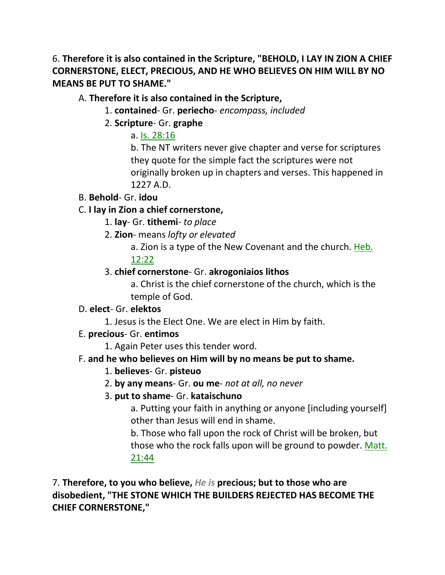6. **Therefore it is also contained in the Scripture, "BEHOLD, I LAY IN ZION A CHIEF CORNERSTONE, ELECT, PRECIOUS, AND HE WHO BELIEVES ON HIM WILL BY NO MEANS BE PUT TO SHAME."** 

### A. **Therefore it is also contained in the Scripture,**

- 1. **contained** Gr. **periecho** *encompass, included*
- 2. **Scripture** Gr. **graphe**

### a. Is. 28:16

b. The NT writers never give chapter and verse for scriptures they quote for the simple fact the scriptures were not originally broken up in chapters and verses. This happened in 1227 A.D.

### B. **Behold**- Gr. **idou**

## C. **I lay in Zion a chief cornerstone,**

- 1. **lay** Gr. **tithemi** *to place*
- 2. **Zion** means *lofty or elevated*
	- a. Zion is a type of the New Covenant and the church. Heb. 12:22

## 3. **chief cornerstone**- Gr. **akrogoniaios lithos**

a. Christ is the chief cornerstone of the church, which is the temple of God.

#### D. **elect**- Gr. **elektos**

1. Jesus is the Elect One. We are elect in Him by faith.

### E. **precious**- Gr. **entimos**

1. Again Peter uses this tender word.

### F. **and he who believes on Him will by no means be put to shame.**

- 1. **believes** Gr. **pisteuo**
- 2. **by any means** Gr. **ou me** *not at all, no never*

### 3. **put to shame**- Gr. **kataischuno**

a. Putting your faith in anything or anyone [including yourself] other than Jesus will end in shame.

b. Those who fall upon the rock of Christ will be broken, but those who the rock falls upon will be ground to powder. Matt. 21:44

7. **Therefore, to you who believe,** *He is* **precious; but to those who are disobedient, "THE STONE WHICH THE BUILDERS REJECTED HAS BECOME THE CHIEF CORNERSTONE,"**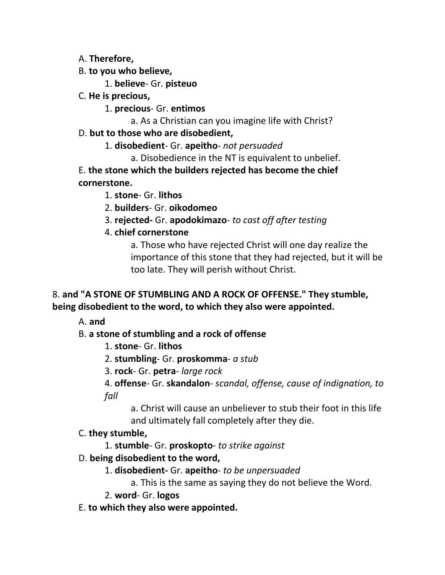A. **Therefore,**

B. **to you who believe,**

1. **believe**- Gr. **pisteuo**

C. **He is precious,**

1. **precious**- Gr. **entimos**

a. As a Christian can you imagine life with Christ?

### D. **but to those who are disobedient,**

1. **disobedient**- Gr. **apeitho**- *not persuaded*

a. Disobedience in the NT is equivalent to unbelief.

E. **the stone which the builders rejected has become the chief cornerstone.**

1. **stone**- Gr. **lithos**

2. **builders**- Gr. **oikodomeo**

3. **rejected-** Gr. **apodokimazo**- *to cast off after testing*

4. **chief cornerstone**

a. Those who have rejected Christ will one day realize the importance of this stone that they had rejected, but it will be too late. They will perish without Christ.

### 8. **and "A STONE OF STUMBLING AND A ROCK OF OFFENSE." They stumble, being disobedient to the word, to which they also were appointed.**

A. **and**

## B. **a stone of stumbling and a rock of offense**

- 1. **stone** Gr. **lithos**
- 2. **stumbling** Gr. **proskomma** *a stub*
- 3. **rock** Gr. **petra** *large rock*

4. **offense**- Gr. **skandalon**- *scandal, offense, cause of indignation, to fall*

a. Christ will cause an unbeliever to stub their foot in this life and ultimately fall completely after they die.

## C. **they stumble,**

1. **stumble**- Gr. **proskopto**- *to strike against*

- D. **being disobedient to the word,**
	- 1. **disobedient-** Gr. **apeitho** *to be unpersuaded*
		- a. This is the same as saying they do not believe the Word.
	- 2. **word** Gr. **logos**
- E. **to which they also were appointed.**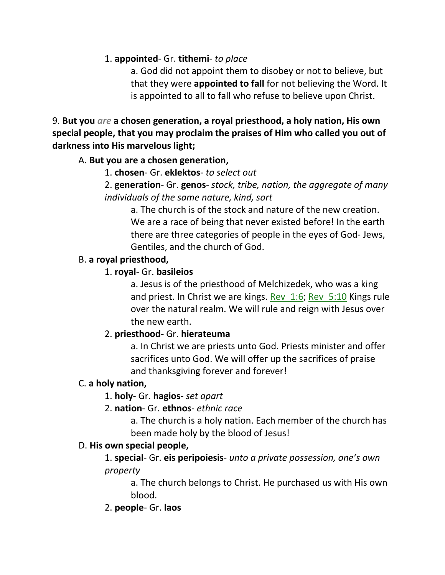### 1. **appointed**- Gr. **tithemi**- *to place*

a. God did not appoint them to disobey or not to believe, but that they were **appointed to fall** for not believing the Word. It is appointed to all to fall who refuse to believe upon Christ.

9. **But you** *are* **a chosen generation, a royal priesthood, a holy nation, His own special people, that you may proclaim the praises of Him who called you out of darkness into His marvelous light;** 

### A. **But you are a chosen generation,**

### 1. **chosen**- Gr. **eklektos**- *to select out*

2. **generation**- Gr. **genos**- *stock, tribe, nation, the aggregate of many individuals of the same nature, kind, sort*

a. The church is of the stock and nature of the new creation. We are a race of being that never existed before! In the earth there are three categories of people in the eyes of God- Jews, Gentiles, and the church of God.

### B. **a royal priesthood,**

### 1. **royal**- Gr. **basileios**

a. Jesus is of the priesthood of Melchizedek, who was a king and priest. In Christ we are kings. Rev\_1:6; Rev\_5:10 Kings rule over the natural realm. We will rule and reign with Jesus over the new earth.

### 2. **priesthood**- Gr. **hierateuma**

a. In Christ we are priests unto God. Priests minister and offer sacrifices unto God. We will offer up the sacrifices of praise and thanksgiving forever and forever!

### C. **a holy nation,**

### 1. **holy**- Gr. **hagios**- *set apart*

### 2. **nation**- Gr. **ethnos**- *ethnic race*

a. The church is a holy nation. Each member of the church has been made holy by the blood of Jesus!

### D. **His own special people,**

1. **special**- Gr. **eis peripoiesis**- *unto a private possession, one's own property*

a. The church belongs to Christ. He purchased us with His own blood.

2. **people**- Gr. **laos**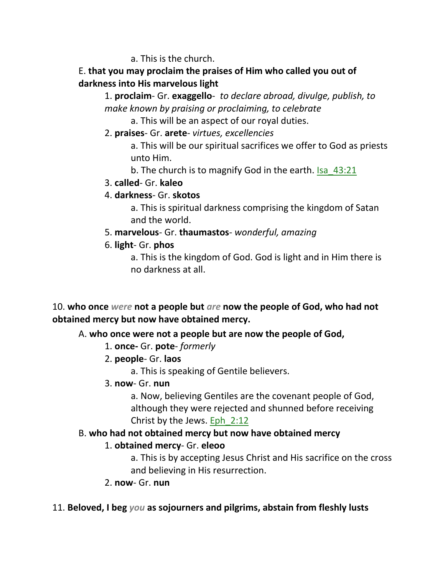a. This is the church.

### E. **that you may proclaim the praises of Him who called you out of darkness into His marvelous light**

1. **proclaim**- Gr. **exaggello**- *to declare abroad, divulge, publish, to make known by praising or proclaiming, to celebrate*

a. This will be an aspect of our royal duties.

2. **praises**- Gr. **arete**- *virtues, excellencies*

a. This will be our spiritual sacrifices we offer to God as priests unto Him.

b. The church is to magnify God in the earth. Isa 43:21

3. **called**- Gr. **kaleo**

## 4. **darkness**- Gr. **skotos**

a. This is spiritual darkness comprising the kingdom of Satan and the world.

- 5. **marvelous** Gr. **thaumastos** *wonderful, amazing*
- 6. **light** Gr. **phos**

a. This is the kingdom of God. God is light and in Him there is no darkness at all.

10. **who once** *were* **not a people but** *are* **now the people of God, who had not obtained mercy but now have obtained mercy.** 

## A. **who once were not a people but are now the people of God,**

- 1. **once-** Gr. **pote** *formerly*
- 2. **people** Gr. **laos**
	- a. This is speaking of Gentile believers.
- 3. **now** Gr. **nun**

a. Now, believing Gentiles are the covenant people of God, although they were rejected and shunned before receiving Christ by the Jews. Eph\_2:12

## B. **who had not obtained mercy but now have obtained mercy**

## 1. **obtained mercy**- Gr. **eleoo**

a. This is by accepting Jesus Christ and His sacrifice on the cross and believing in His resurrection.

2. **now**- Gr. **nun**

## 11. **Beloved, I beg** *you* **as sojourners and pilgrims, abstain from fleshly lusts**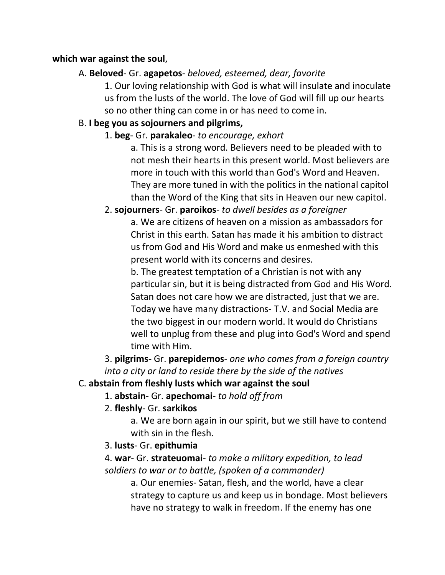#### **which war against the soul**,

### A. **Beloved**- Gr. **agapetos**- *beloved, esteemed, dear, favorite*

1. Our loving relationship with God is what will insulate and inoculate us from the lusts of the world. The love of God will fill up our hearts so no other thing can come in or has need to come in.

### B. **I beg you as sojourners and pilgrims,**

1. **beg**- Gr. **parakaleo**- *to encourage, exhort*

a. This is a strong word. Believers need to be pleaded with to not mesh their hearts in this present world. Most believers are more in touch with this world than God's Word and Heaven. They are more tuned in with the politics in the national capitol than the Word of the King that sits in Heaven our new capitol.

## 2. **sojourners**- Gr. **paroikos**- *to dwell besides as a foreigner*

a. We are citizens of heaven on a mission as ambassadors for Christ in this earth. Satan has made it his ambition to distract us from God and His Word and make us enmeshed with this present world with its concerns and desires.

b. The greatest temptation of a Christian is not with any particular sin, but it is being distracted from God and His Word. Satan does not care how we are distracted, just that we are. Today we have many distractions- T.V. and Social Media are the two biggest in our modern world. It would do Christians well to unplug from these and plug into God's Word and spend time with Him.

3. **pilgrims-** Gr. **parepidemos**- *one who comes from a foreign country into a city or land to reside there by the side of the natives*

#### C. **abstain from fleshly lusts which war against the soul**

1. **abstain**- Gr. **apechomai**- *to hold off from*

2. **fleshly**- Gr. **sarkikos**

a. We are born again in our spirit, but we still have to contend with sin in the flesh.

3. **lusts**- Gr. **epithumia**

4. **war**- Gr. **strateuomai**- *to make a military expedition, to lead soldiers to war or to battle, (spoken of a commander)*

a. Our enemies- Satan, flesh, and the world, have a clear strategy to capture us and keep us in bondage. Most believers have no strategy to walk in freedom. If the enemy has one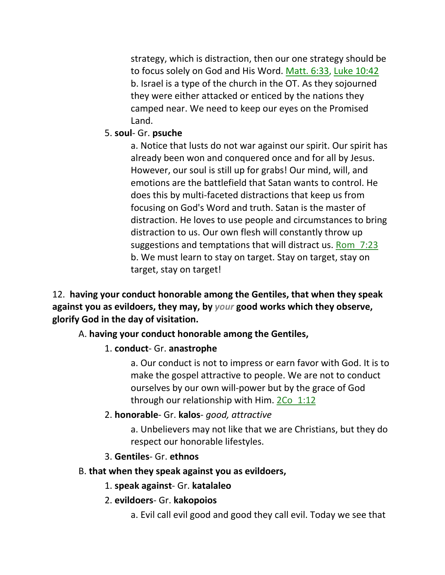strategy, which is distraction, then our one strategy should be to focus solely on God and His Word. Matt. 6:33, Luke 10:42 b. Israel is a type of the church in the OT. As they sojourned they were either attacked or enticed by the nations they camped near. We need to keep our eyes on the Promised Land.

#### 5. **soul**- Gr. **psuche**

a. Notice that lusts do not war against our spirit. Our spirit has already been won and conquered once and for all by Jesus. However, our soul is still up for grabs! Our mind, will, and emotions are the battlefield that Satan wants to control. He does this by multi-faceted distractions that keep us from focusing on God's Word and truth. Satan is the master of distraction. He loves to use people and circumstances to bring distraction to us. Our own flesh will constantly throw up suggestions and temptations that will distract us. Rom\_7:23 b. We must learn to stay on target. Stay on target, stay on target, stay on target!

12. **having your conduct honorable among the Gentiles, that when they speak against you as evildoers, they may, by** *your* **good works which they observe, glorify God in the day of visitation.** 

#### A. **having your conduct honorable among the Gentiles,**

#### 1. **conduct**- Gr. **anastrophe**

a. Our conduct is not to impress or earn favor with God. It is to make the gospel attractive to people. We are not to conduct ourselves by our own will-power but by the grace of God through our relationship with Him. 2Co\_1:12

#### 2. **honorable**- Gr. **kalos**- *good, attractive*

a. Unbelievers may not like that we are Christians, but they do respect our honorable lifestyles.

#### 3. **Gentiles**- Gr. **ethnos**

#### B. **that when they speak against you as evildoers,**

#### 1. **speak against**- Gr. **katalaleo**

- 2. **evildoers** Gr. **kakopoios**
	- a. Evil call evil good and good they call evil. Today we see that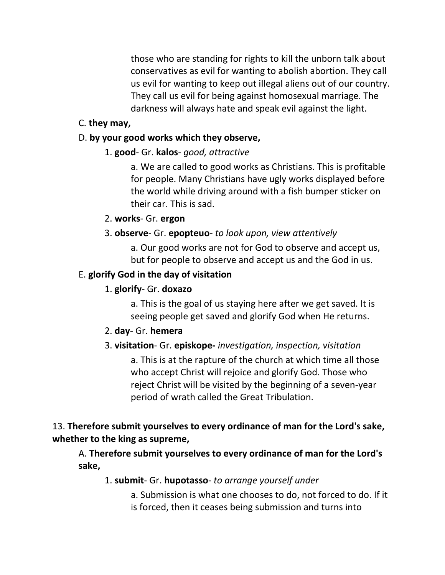those who are standing for rights to kill the unborn talk about conservatives as evil for wanting to abolish abortion. They call us evil for wanting to keep out illegal aliens out of our country. They call us evil for being against homosexual marriage. The darkness will always hate and speak evil against the light.

### C. **they may,**

### D. **by your good works which they observe,**

### 1. **good**- Gr. **kalos**- *good, attractive*

a. We are called to good works as Christians. This is profitable for people. Many Christians have ugly works displayed before the world while driving around with a fish bumper sticker on their car. This is sad.

### 2. **works**- Gr. **ergon**

### 3. **observe**- Gr. **epopteuo**- *to look upon, view attentively*

a. Our good works are not for God to observe and accept us, but for people to observe and accept us and the God in us.

### E. **glorify God in the day of visitation**

### 1. **glorify**- Gr. **doxazo**

a. This is the goal of us staying here after we get saved. It is seeing people get saved and glorify God when He returns.

#### 2. **day**- Gr. **hemera**

### 3. **visitation**- Gr. **episkope-** *investigation, inspection, visitation*

a. This is at the rapture of the church at which time all those who accept Christ will rejoice and glorify God. Those who reject Christ will be visited by the beginning of a seven-year period of wrath called the Great Tribulation.

## 13. **Therefore submit yourselves to every ordinance of man for the Lord's sake, whether to the king as supreme,**

## A. **Therefore submit yourselves to every ordinance of man for the Lord's sake,**

### 1. **submit**- Gr. **hupotasso**- *to arrange yourself under*

a. Submission is what one chooses to do, not forced to do. If it is forced, then it ceases being submission and turns into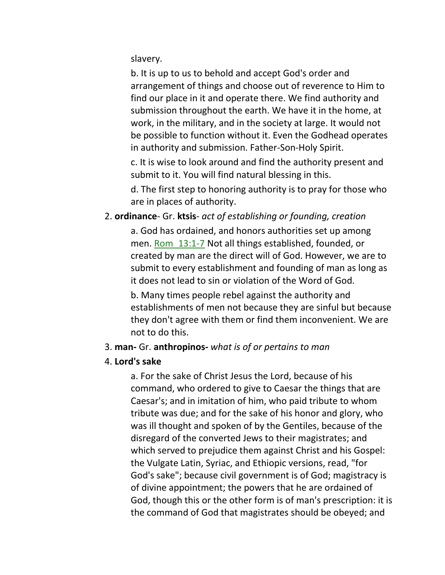slavery.

b. It is up to us to behold and accept God's order and arrangement of things and choose out of reverence to Him to find our place in it and operate there. We find authority and submission throughout the earth. We have it in the home, at work, in the military, and in the society at large. It would not be possible to function without it. Even the Godhead operates in authority and submission. Father-Son-Holy Spirit.

c. It is wise to look around and find the authority present and submit to it. You will find natural blessing in this.

d. The first step to honoring authority is to pray for those who are in places of authority.

### 2. **ordinance**- Gr. **ktsis**- *act of establishing or founding, creation*

a. God has ordained, and honors authorities set up among men. Rom 13:1-7 Not all things established, founded, or created by man are the direct will of God. However, we are to submit to every establishment and founding of man as long as it does not lead to sin or violation of the Word of God.

b. Many times people rebel against the authority and establishments of men not because they are sinful but because they don't agree with them or find them inconvenient. We are not to do this.

#### 3. **man-** Gr. **anthropinos-** *what is of or pertains to man*

#### 4. **Lord's sake**

a. For the sake of Christ Jesus the Lord, because of his command, who ordered to give to Caesar the things that are Caesar's; and in imitation of him, who paid tribute to whom tribute was due; and for the sake of his honor and glory, who was ill thought and spoken of by the Gentiles, because of the disregard of the converted Jews to their magistrates; and which served to prejudice them against Christ and his Gospel: the Vulgate Latin, Syriac, and Ethiopic versions, read, "for God's sake"; because civil government is of God; magistracy is of divine appointment; the powers that he are ordained of God, though this or the other form is of man's prescription: it is the command of God that magistrates should be obeyed; and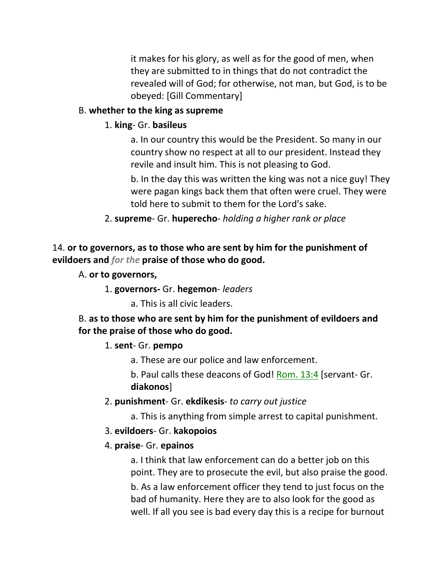it makes for his glory, as well as for the good of men, when they are submitted to in things that do not contradict the revealed will of God; for otherwise, not man, but God, is to be obeyed: [Gill Commentary]

### B. **whether to the king as supreme**

### 1. **king**- Gr. **basileus**

a. In our country this would be the President. So many in our country show no respect at all to our president. Instead they revile and insult him. This is not pleasing to God.

b. In the day this was written the king was not a nice guy! They were pagan kings back them that often were cruel. They were told here to submit to them for the Lord's sake.

#### 2. **supreme**- Gr. **huperecho**- *holding a higher rank or place*

14. **or to governors, as to those who are sent by him for the punishment of evildoers and** *for the* **praise of those who do good.**

#### A. **or to governors,**

1. **governors-** Gr. **hegemon**- *leaders*

a. This is all civic leaders.

B. **as to those who are sent by him for the punishment of evildoers and for the praise of those who do good.**

#### 1. **sent**- Gr. **pempo**

a. These are our police and law enforcement.

b. Paul calls these deacons of God! Rom. 13:4 [servant- Gr. **diakonos**]

2. **punishment**- Gr. **ekdikesis**- *to carry out justice*

a. This is anything from simple arrest to capital punishment.

#### 3. **evildoers**- Gr. **kakopoios**

#### 4. **praise**- Gr. **epainos**

a. I think that law enforcement can do a better job on this point. They are to prosecute the evil, but also praise the good. b. As a law enforcement officer they tend to just focus on the

bad of humanity. Here they are to also look for the good as well. If all you see is bad every day this is a recipe for burnout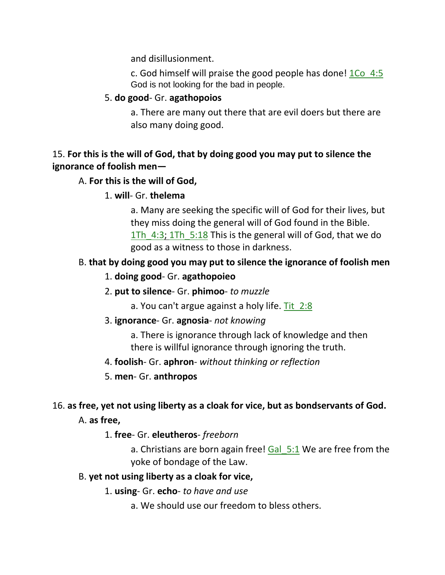and disillusionment.

c. God himself will praise the good people has done! 1Co\_4:5 God is not looking for the bad in people.

### 5. **do good**- Gr. **agathopoios**

a. There are many out there that are evil doers but there are also many doing good.

## 15. **For this is the will of God, that by doing good you may put to silence the ignorance of foolish men—**

### A. **For this is the will of God,**

### 1. **will**- Gr. **thelema**

a. Many are seeking the specific will of God for their lives, but they miss doing the general will of God found in the Bible. 1Th 4:3; 1Th 5:18 This is the general will of God, that we do good as a witness to those in darkness.

## B. **that by doing good you may put to silence the ignorance of foolish men**

### 1. **doing good**- Gr. **agathopoieo**

- 2. **put to silence** Gr. **phimoo** *to muzzle*
	- a. You can't argue against a holy life.  $Tit 2:8$ </u>

### 3. **ignorance**- Gr. **agnosia**- *not knowing*

a. There is ignorance through lack of knowledge and then there is willful ignorance through ignoring the truth.

### 4. **foolish**- Gr. **aphron**- *without thinking or reflection*

### 5. **men**- Gr. **anthropos**

## 16. **as free, yet not using liberty as a cloak for vice, but as bondservants of God.**

A. **as free,**

### 1. **free**- Gr. **eleutheros**- *freeborn*

a. Christians are born again free! Gal 5:1 We are free from the yoke of bondage of the Law.

### B. **yet not using liberty as a cloak for vice,**

1. **using**- Gr. **echo**- *to have and use*

a. We should use our freedom to bless others.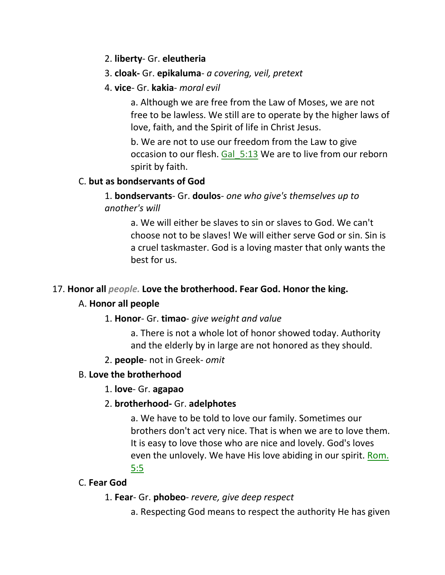### 2. **liberty**- Gr. **eleutheria**

### 3. **cloak-** Gr. **epikaluma**- *a covering, veil, pretext*

### 4. **vice**- Gr. **kakia**- *moral evil*

a. Although we are free from the Law of Moses, we are not free to be lawless. We still are to operate by the higher laws of love, faith, and the Spirit of life in Christ Jesus.

b. We are not to use our freedom from the Law to give occasion to our flesh. Gal 5:13 We are to live from our reborn spirit by faith.

### C. **but as bondservants of God**

1. **bondservants**- Gr. **doulos**- *one who give's themselves up to another's will*

> a. We will either be slaves to sin or slaves to God. We can't choose not to be slaves! We will either serve God or sin. Sin is a cruel taskmaster. God is a loving master that only wants the best for us.

### 17. **Honor all** *people.* **Love the brotherhood. Fear God. Honor the king.**

#### A. **Honor all people**

#### 1. **Honor**- Gr. **timao**- *give weight and value*

a. There is not a whole lot of honor showed today. Authority and the elderly by in large are not honored as they should.

#### 2. **people**- not in Greek- *omit*

#### B. **Love the brotherhood**

#### 1. **love**- Gr. **agapao**

### 2. **brotherhood-** Gr. **adelphotes**

a. We have to be told to love our family. Sometimes our brothers don't act very nice. That is when we are to love them. It is easy to love those who are nice and lovely. God's loves even the unlovely. We have His love abiding in our spirit. Rom. 5:5

### C. **Fear God**

#### 1. **Fear**- Gr. **phobeo**- *revere, give deep respect*

a. Respecting God means to respect the authority He has given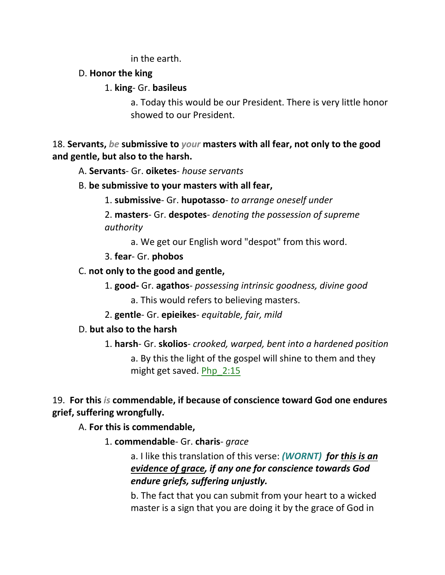in the earth.

### D. **Honor the king**

## 1. **king**- Gr. **basileus**

a. Today this would be our President. There is very little honor showed to our President.

18. **Servants,** *be* **submissive to** *your* **masters with all fear, not only to the good and gentle, but also to the harsh.** 

A. **Servants**- Gr. **oiketes**- *house servants*

B. **be submissive to your masters with all fear,**

1. **submissive**- Gr. **hupotasso**- *to arrange oneself under*

2. **masters**- Gr. **despotes**- *denoting the possession of supreme authority*

a. We get our English word "despot" from this word.

3. **fear**- Gr. **phobos**

## C. **not only to the good and gentle,**

1. **good-** Gr. **agathos**- *possessing intrinsic goodness, divine good*

a. This would refers to believing masters.

2. **gentle**- Gr. **epieikes**- *equitable, fair, mild*

## D. **but also to the harsh**

1. **harsh**- Gr. **skolios**- *crooked, warped, bent into a hardened position*

a. By this the light of the gospel will shine to them and they might get saved. Php 2:15

19. **For this** *is* **commendable, if because of conscience toward God one endures grief, suffering wrongfully.** 

A. **For this is commendable,**

1. **commendable**- Gr. **charis**- *grace*

a. I like this translation of this verse: *(WORNT) for this is an evidence of grace, if any one for conscience towards God endure griefs, suffering unjustly.*

b. The fact that you can submit from your heart to a wicked master is a sign that you are doing it by the grace of God in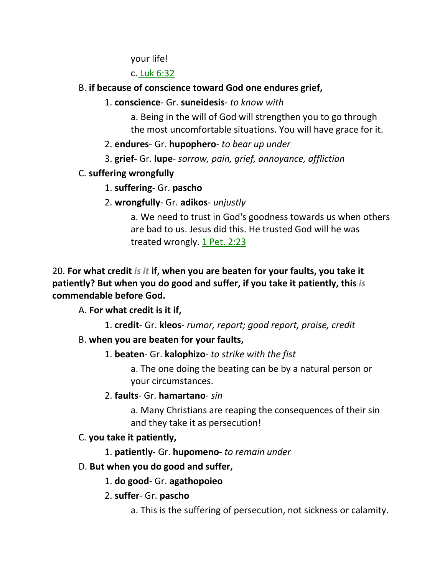your life!

c. Luk 6:32

### B. **if because of conscience toward God one endures grief,**

### 1. **conscience**- Gr. **suneidesis**- *to know with*

a. Being in the will of God will strengthen you to go through the most uncomfortable situations. You will have grace for it.

- 2. **endures** Gr. **hupophero** *to bear up under*
- 3. **grief-** Gr. **lupe** *sorrow, pain, grief, annoyance, affliction*

## C. **suffering wrongfully**

1. **suffering**- Gr. **pascho**

## 2. **wrongfully**- Gr. **adikos**- *unjustly*

a. We need to trust in God's goodness towards us when others are bad to us. Jesus did this. He trusted God will he was treated wrongly. 1 Pet. 2:23

20. **For what credit** *is it* **if, when you are beaten for your faults, you take it patiently? But when you do good and suffer, if you take it patiently, this** *is* **commendable before God.** 

## A. **For what credit is it if,**

1. **credit**- Gr. **kleos**- *rumor, report; good report, praise, credit*

## B. **when you are beaten for your faults,**

1. **beaten**- Gr. **kalophizo**- *to strike with the fist*

a. The one doing the beating can be by a natural person or your circumstances.

2. **faults**- Gr. **hamartano**- *sin*

a. Many Christians are reaping the consequences of their sin and they take it as persecution!

## C. **you take it patiently,**

1. **patiently**- Gr. **hupomeno**- *to remain under*

## D. **But when you do good and suffer,**

1. **do good**- Gr. **agathopoieo**

2. **suffer**- Gr. **pascho**

a. This is the suffering of persecution, not sickness or calamity.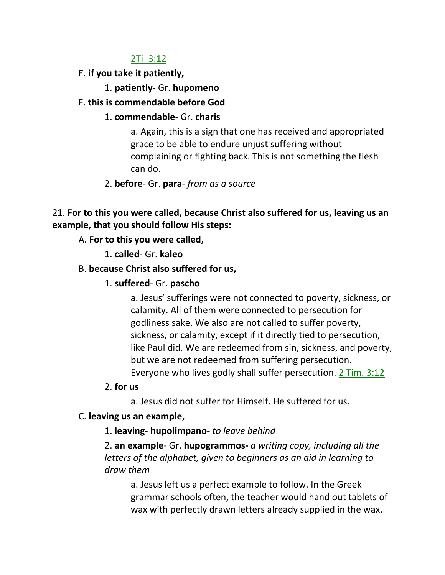#### 2Ti\_3:12

- E. **if you take it patiently,**
	- 1. **patiently-** Gr. **hupomeno**

### F. **this is commendable before God**

### 1. **commendable**- Gr. **charis**

a. Again, this is a sign that one has received and appropriated grace to be able to endure unjust suffering without complaining or fighting back. This is not something the flesh can do.

## 2. **before**- Gr. **para**- *from as a source*

21. **For to this you were called, because Christ also suffered for us, leaving us an example, that you should follow His steps:** 

- A. **For to this you were called,**
	- 1. **called** Gr. **kaleo**

### B. **because Christ also suffered for us,**

1. **suffered**- Gr. **pascho**

a. Jesus' sufferings were not connected to poverty, sickness, or calamity. All of them were connected to persecution for godliness sake. We also are not called to suffer poverty, sickness, or calamity, except if it directly tied to persecution, like Paul did. We are redeemed from sin, sickness, and poverty, but we are not redeemed from suffering persecution. Everyone who lives godly shall suffer persecution. 2 Tim. 3:12

- 2. **for us**
	- a. Jesus did not suffer for Himself. He suffered for us.

### C. **leaving us an example,**

1. **leaving**- **hupolimpano**- *to leave behind*

2. **an example**- Gr. **hupogrammos-** *a writing copy, including all the letters of the alphabet, given to beginners as an aid in learning to draw them*

a. Jesus left us a perfect example to follow. In the Greek grammar schools often, the teacher would hand out tablets of wax with perfectly drawn letters already supplied in the wax.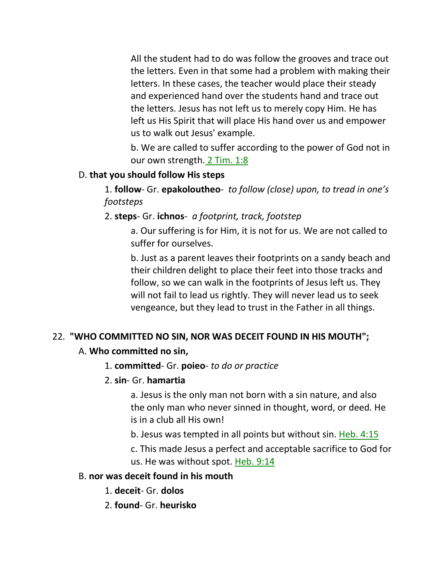All the student had to do was follow the grooves and trace out the letters. Even in that some had a problem with making their letters. In these cases, the teacher would place their steady and experienced hand over the students hand and trace out the letters. Jesus has not left us to merely copy Him. He has left us His Spirit that will place His hand over us and empower us to walk out Jesus' example.

b. We are called to suffer according to the power of God not in our own strength. 2 Tim. 1:8

#### D. **that you should follow His steps**

1. **follow**- Gr. **epakoloutheo**- *to follow (close) upon, to tread in one's footsteps*

#### 2. **steps**- Gr. **ichnos**- *a footprint, track, footstep*

a. Our suffering is for Him, it is not for us. We are not called to suffer for ourselves.

b. Just as a parent leaves their footprints on a sandy beach and their children delight to place their feet into those tracks and follow, so we can walk in the footprints of Jesus left us. They will not fail to lead us rightly. They will never lead us to seek vengeance, but they lead to trust in the Father in all things.

#### 22. **"WHO COMMITTED NO SIN, NOR WAS DECEIT FOUND IN HIS MOUTH";**

#### A. **Who committed no sin,**

#### 1. **committed**- Gr. **poieo**- *to do or practice*

2. **sin**- Gr. **hamartia**

a. Jesus is the only man not born with a sin nature, and also the only man who never sinned in thought, word, or deed. He is in a club all His own!

b. Jesus was tempted in all points but without sin. Heb. 4:15

c. This made Jesus a perfect and acceptable sacrifice to God for us. He was without spot. Heb. 9:14

#### B. **nor was deceit found in his mouth**

- 1. **deceit** Gr. **dolos**
- 2. **found** Gr. **heurisko**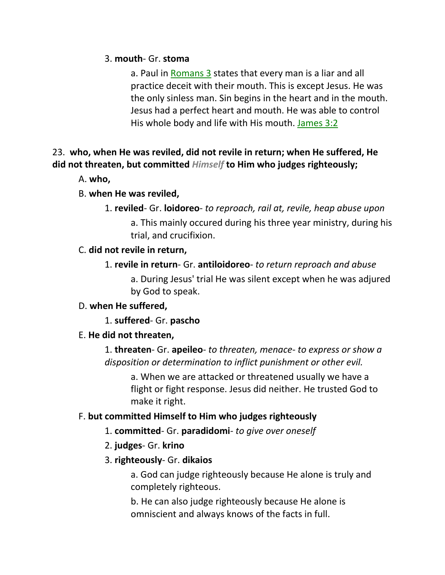#### 3. **mouth**- Gr. **stoma**

a. Paul in Romans 3 states that every man is a liar and all practice deceit with their mouth. This is except Jesus. He was the only sinless man. Sin begins in the heart and in the mouth. Jesus had a perfect heart and mouth. He was able to control His whole body and life with His mouth. James 3:2

## 23. **who, when He was reviled, did not revile in return; when He suffered, He did not threaten, but committed** *Himself* **to Him who judges righteously;**

A. **who,**

### B. **when He was reviled,**

1. **reviled**- Gr. **loidoreo**- *to reproach, rail at, revile, heap abuse upon*

a. This mainly occured during his three year ministry, during his trial, and crucifixion.

### C. **did not revile in return,**

1. **revile in return**- Gr. **antiloidoreo**- *to return reproach and abuse*

a. During Jesus' trial He was silent except when he was adjured by God to speak.

### D. **when He suffered,**

1. **suffered**- Gr. **pascho**

### E. **He did not threaten,**

1. **threaten**- Gr. **apeileo**- *to threaten, menace- to express or show a disposition or determination to inflict punishment or other evil.*

a. When we are attacked or threatened usually we have a flight or fight response. Jesus did neither. He trusted God to make it right.

## F. **but committed Himself to Him who judges righteously**

- 1. **committed** Gr. **paradidomi** *to give over oneself*
- 2. **judges** Gr. **krino**
- 3. **righteously** Gr. **dikaios**

a. God can judge righteously because He alone is truly and completely righteous.

b. He can also judge righteously because He alone is omniscient and always knows of the facts in full.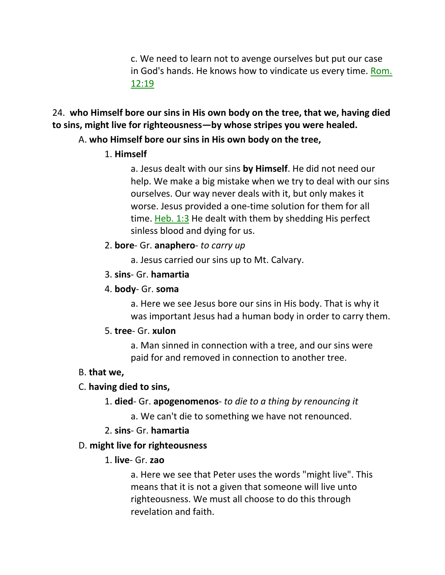c. We need to learn not to avenge ourselves but put our case in God's hands. He knows how to vindicate us every time. Rom. 12:19

### 24. **who Himself bore our sins in His own body on the tree, that we, having died to sins, might live for righteousness—by whose stripes you were healed.**

### A. **who Himself bore our sins in His own body on the tree,**

### 1. **Himself**

a. Jesus dealt with our sins **by Himself**. He did not need our help. We make a big mistake when we try to deal with our sins ourselves. Our way never deals with it, but only makes it worse. Jesus provided a one-time solution for them for all time. Heb. 1:3 He dealt with them by shedding His perfect sinless blood and dying for us.

### 2. **bore**- Gr. **anaphero**- *to carry up*

a. Jesus carried our sins up to Mt. Calvary.

### 3. **sins**- Gr. **hamartia**

### 4. **body**- Gr. **soma**

a. Here we see Jesus bore our sins in His body. That is why it was important Jesus had a human body in order to carry them.

#### 5. **tree**- Gr. **xulon**

a. Man sinned in connection with a tree, and our sins were paid for and removed in connection to another tree.

### B. **that we,**

### C. **having died to sins,**

- 1. **died** Gr. **apogenomenos** *to die to a thing by renouncing it* 
	- a. We can't die to something we have not renounced.

### 2. **sins**- Gr. **hamartia**

### D. **might live for righteousness**

### 1. **live**- Gr. **zao**

a. Here we see that Peter uses the words "might live". This means that it is not a given that someone will live unto righteousness. We must all choose to do this through revelation and faith.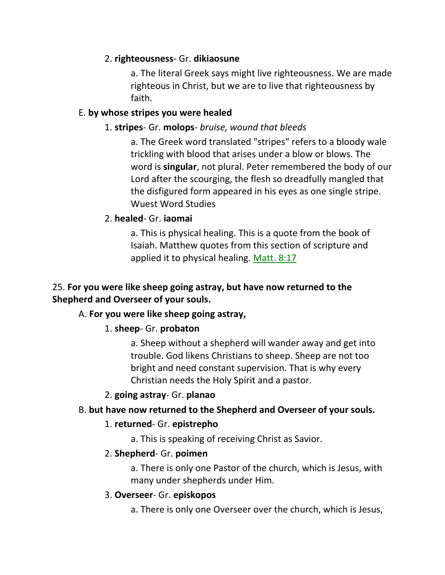### 2. **righteousness**- Gr. **dikiaosune**

a. The literal Greek says might live righteousness. We are made righteous in Christ, but we are to live that righteousness by faith.

### E. **by whose stripes you were healed**

### 1. **stripes**- Gr. **molops**- *bruise, wound that bleeds*

a. The Greek word translated "stripes" refers to a bloody wale trickling with blood that arises under a blow or blows. The word is **singular**, not plural. Peter remembered the body of our Lord after the scourging, the flesh so dreadfully mangled that the disfigured form appeared in his eyes as one single stripe. Wuest Word Studies

### 2. **healed**- Gr. **iaomai**

a. This is physical healing. This is a quote from the book of Isaiah. Matthew quotes from this section of scripture and applied it to physical healing. Matt. 8:17

## 25. **For you were like sheep going astray, but have now returned to the Shepherd and Overseer of your souls.**

### A. **For you were like sheep going astray,**

### 1. **sheep**- Gr. **probaton**

a. Sheep without a shepherd will wander away and get into trouble. God likens Christians to sheep. Sheep are not too bright and need constant supervision. That is why every Christian needs the Holy Spirit and a pastor.

#### 2. **going astray**- Gr. **planao**

### B. **but have now returned to the Shepherd and Overseer of your souls.**

#### 1. **returned**- Gr. **epistrepho**

a. This is speaking of receiving Christ as Savior.

#### 2. **Shepherd**- Gr. **poimen**

a. There is only one Pastor of the church, which is Jesus, with many under shepherds under Him.

#### 3. **Overseer**- Gr. **episkopos**

a. There is only one Overseer over the church, which is Jesus,